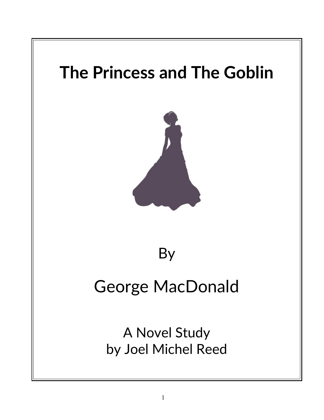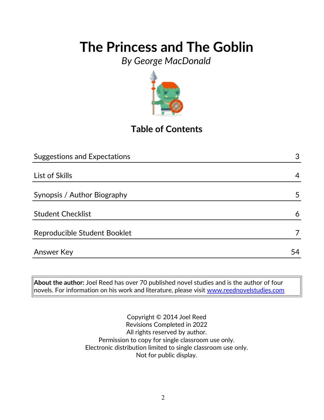*By George MacDonald*



## **Table of Contents**

| <b>Suggestions and Expectations</b> | 3  |
|-------------------------------------|----|
|                                     |    |
| List of Skills                      | 4  |
|                                     |    |
| Synopsis / Author Biography         | 5  |
|                                     |    |
| <b>Student Checklist</b>            | 6  |
| Reproducible Student Booklet        |    |
|                                     |    |
| <b>Answer Key</b>                   | 54 |

**About the author:** Joel Reed has over 70 published novel studies and is the author of four  $|$ novels. For information on his work and literature, please visit  $\overline{\text{www.reednovelstudies.com}}$ 

> Copyright © 2014 Joel Reed Revisions Completed in 2022 All rights reserved by author. Permission to copy for single classroom use only. Electronic distribution limited to single classroom use only. Not for public display.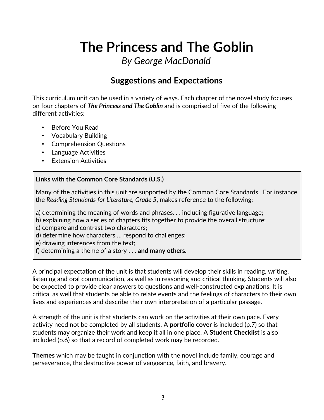*By George MacDonald*

### **Suggestions and Expectations**

This curriculum unit can be used in a variety of ways. Each chapter of the novel study focuses on four chapters of *The Princess and The Goblin* and is comprised of five of the following different activities:

- Before You Read
- Vocabulary Building
- Comprehension Questions
- Language Activities
- Extension Activities

#### **Links with the Common Core Standards (U.S.)**

Many of the activities in this unit are supported by the Common Core Standards. For instance the *Reading Standards for Literature, Grade 5*, makes reference to the following:

a) determining the meaning of words and phrases. . . including figurative language;

- b) explaining how a series of chapters fits together to provide the overall structure;
- c) compare and contrast two characters;
- d) determine how characters … respond to challenges;

e) drawing inferences from the text;

f) determining a theme of a story . . . **and many others.**

A principal expectation of the unit is that students will develop their skills in reading, writing, listening and oral communication, as well as in reasoning and critical thinking. Students will also be expected to provide clear answers to questions and well-constructed explanations. It is critical as well that students be able to relate events and the feelings of characters to their own lives and experiences and describe their own interpretation of a particular passage.

A strength of the unit is that students can work on the activities at their own pace. Every activity need not be completed by all students. A **portfolio cover** is included (p.7) so that students may organize their work and keep it all in one place. A **Student Checklist** is also included (p.6) so that a record of completed work may be recorded.

**Themes** which may be taught in conjunction with the novel include family, courage and perseverance, the destructive power of vengeance, faith, and bravery.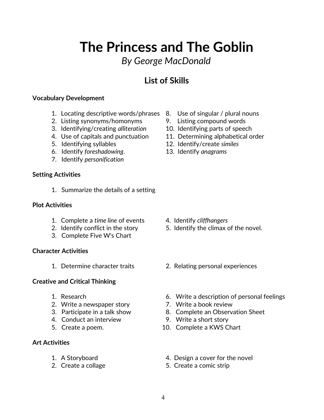## *By George MacDonald*

## **List of Skills**

#### **Vocabulary Development**

- 1. Locating descriptive words/phrases 8. Use of singular / plural nouns
- 2. Listing synonyms/homonyms 9. Listing compound words
- 3. Identifying/creating *alliteration* 10. Identifying parts of speech
- 
- 
- 6. Identify *foreshadowing*. 13. Identify *anagrams*
- 7. Identify *personification*

#### **Setting Activities**

1. Summarize the details of a setting

#### **Plot Activities**

- 1. Complete a *time line* of events 4. Identify *cliffhangers*
- 
- 3. Complete Five W's Chart

#### **Character Activities**

#### **Creative and Critical Thinking**

- 
- 2. Write a newspaper story **7. Write a book review**
- 
- 4. Conduct an interview 9. Write a short story
- 

#### **Art Activities**

- 
- 
- 
- 
- 
- 4. Use of capitals and punctuation 11. Determining alphabetical order
- 5. Identifying syllables 12. Identify/create *similes*
	-

- 
- 2. Identify conflict in the story 5. Identify the climax of the novel.
- 1. Determine character traits 2. Relating personal experiences
- 1. Research 6. Write a description of personal feelings
	-
- 3. Participate in a talk show 8. Complete an Observation Sheet
	-
- 5. Create a poem. 10. Complete a KWS Chart
- 1. A Storyboard 4. Design a cover for the novel
- 2. Create a collage 5. Create a comic strip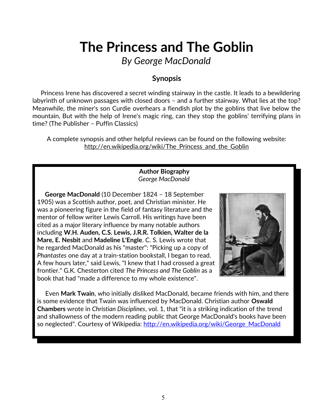*By George MacDonald*

### **Synopsis**

 Princess Irene has discovered a secret winding stairway in the castle. It leads to a bewildering labyrinth of unknown passages with closed doors – and a further stairway. What lies at the top? Meanwhile, the miner's son Curdie overhears a fiendish plot by the goblins that live below the mountain, But with the help of Irene's magic ring, can they stop the goblins' terrifying plans in time? (The Publisher – Puffin Classics)

A complete synopsis and other helpful reviews can be found on the following website: http://en.wikipedia.org/wiki/The Princess and the Goblin

#### **Author Biography** *George MacDonald*

 **George MacDonald** (10 December 1824 – 18 September 1905) was a Scottish author, poet, and Christian minister. He was a pioneering figure in the field of fantasy literature and the mentor of fellow writer Lewis Carroll. His writings have been cited as a major literary influence by many notable authors including **W.H. Auden, C.S. Lewis, J.R.R. Tolkien, Walter de la Mare, E. Nesbit** and **Madeline L'Engle**. C. S. Lewis wrote that he regarded MacDonald as his "master": "Picking up a copy of *Phantastes* one day at a train-station bookstall, I began to read. A few hours later," said Lewis, "I knew that I had crossed a great frontier." G.K. Chesterton cited *The Princess and The Goblin* as a book that had "made a difference to my whole existence".



 Even **Mark Twain**, who initially disliked MacDonald, became friends with him, and there is some evidence that Twain was influenced by MacDonald. Christian author **Oswald Chambers** wrote in *Christian Disciplines*, vol. 1, that "it is a striking indication of the trend and shallowness of the modern reading public that George MacDonald's books have been so neglected". Courtesy of Wikipedia: [http://en.wikipedia.org/wiki/George\\_MacDonald](http://en.wikipedia.org/wiki/George_MacDonald)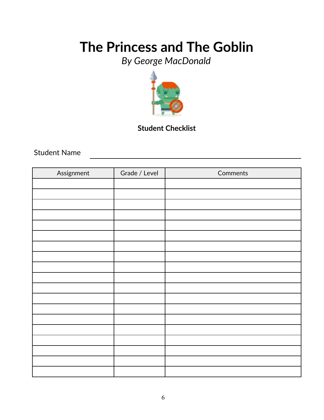*By George MacDonald*



### **Student Checklist**

Student Name

| Assignment | Grade / Level | Comments |
|------------|---------------|----------|
|            |               |          |
|            |               |          |
|            |               |          |
|            |               |          |
|            |               |          |
|            |               |          |
|            |               |          |
|            |               |          |
|            |               |          |
|            |               |          |
|            |               |          |
|            |               |          |
|            |               |          |
|            |               |          |
|            |               |          |
|            |               |          |
|            |               |          |
|            |               |          |
|            |               |          |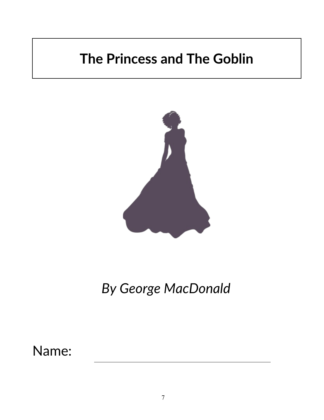

*By George MacDonald*

Name: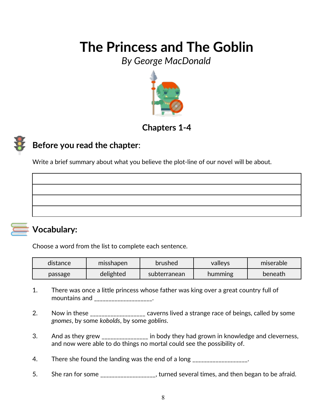*By George MacDonald*



### **Chapters 1-4**

## **Before you read the chapter**:

Write a brief summary about what you believe the plot-line of our novel will be about.



### **Vocabulary:**

Choose a word from the list to complete each sentence.

| distance | misshapen | brushed      | valleys | miserable |
|----------|-----------|--------------|---------|-----------|
| passage  | delighted | subterranean | humming | beneath   |

- 1. There was once a little princess whose father was king over a great country full of mountains and \_\_\_\_\_\_\_\_\_\_\_\_\_\_\_\_\_\_\_.
- 2. Now in these \_\_\_\_\_\_\_\_\_\_\_\_\_\_\_\_\_\_ caverns lived a strange race of beings, called by some *gnomes*, by some *kobolds*, by some *goblins*.
- 3. And as they grew \_\_\_\_\_\_\_\_\_\_\_\_\_\_\_ in body they had grown in knowledge and cleverness, and now were able to do things no mortal could see the possibility of.
- 4. There she found the landing was the end of a long There is not the state of a long
- 5. She ran for some \_\_\_\_\_\_\_\_\_\_\_\_\_\_\_\_\_, turned several times, and then began to be afraid.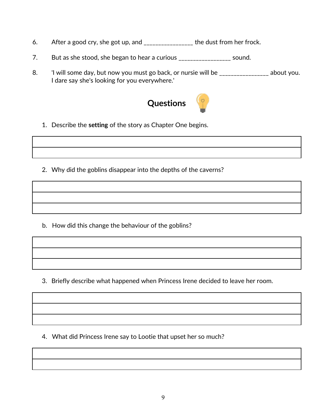- 6. After a good cry, she got up, and \_\_\_\_\_\_\_\_\_\_\_\_\_\_\_\_\_ the dust from her frock.
- 7. But as she stood, she began to hear a curious \_\_\_\_\_\_\_\_\_\_\_\_\_\_\_\_\_\_\_\_\_ sound.
- 8. I will some day, but now you must go back, or nursie will be \_\_\_\_\_\_\_\_\_\_\_\_\_\_\_\_\_ about you. I dare say she's looking for you everywhere.'



- 1. Describe the **setting** of the story as Chapter One begins.
- 2. Why did the goblins disappear into the depths of the caverns?

b. How did this change the behaviour of the goblins?

3. Briefly describe what happened when Princess Irene decided to leave her room.

4. What did Princess Irene say to Lootie that upset her so much?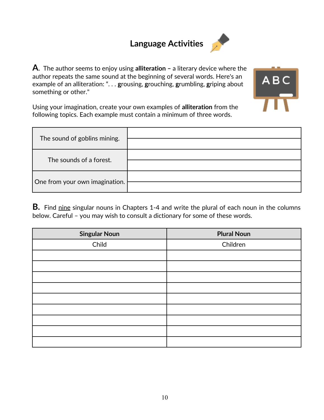## **Language Activities**



**A**. The author seems to enjoy using **alliteration –** a literary device where the author repeats the same sound at the beginning of several words. Here's an example of an alliteration: ". . . **g**rousing, **g**rouching, **g**rumbling, **g**riping about something or other."



Using your imagination, create your own examples of **alliteration** from the following topics. Each example must contain a minimum of three words.

| The sound of goblins mining.   |  |
|--------------------------------|--|
| The sounds of a forest.        |  |
| One from your own imagination. |  |

**B.** Find nine singular nouns in Chapters 1-4 and write the plural of each noun in the columns below. Careful – you may wish to consult a dictionary for some of these words.

| <b>Singular Noun</b> | <b>Plural Noun</b> |
|----------------------|--------------------|
| Child                | Children           |
|                      |                    |
|                      |                    |
|                      |                    |
|                      |                    |
|                      |                    |
|                      |                    |
|                      |                    |
|                      |                    |
|                      |                    |